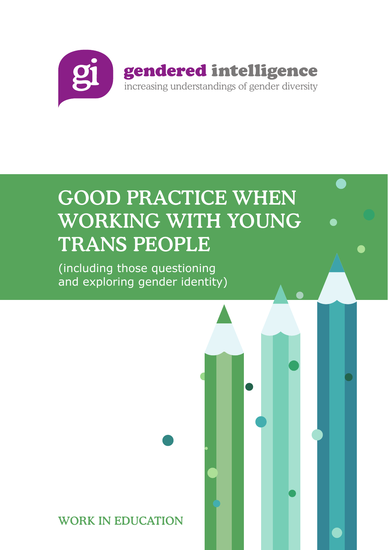

# GOOD PRACTICE WHEN WORKING WITH YOUNG TRANS PEOPLE

(including those questioning and exploring gender identity)

WORK IN EDUCATION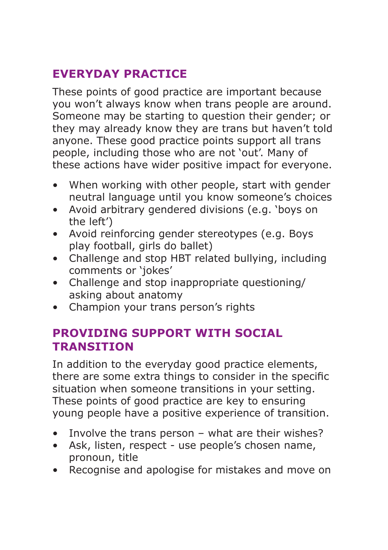# **EVERYDAY PRACTICE**

These points of good practice are important because you won't always know when trans people are around. Someone may be starting to question their gender; or they may already know they are trans but haven't told anyone. These good practice points support all trans people, including those who are not 'out'. Many of these actions have wider positive impact for everyone.

- When working with other people, start with gender neutral language until you know someone's choices
- Avoid arbitrary gendered divisions (e.g. 'boys on the left')
- Avoid reinforcing gender stereotypes (e.g. Boys play football, girls do ballet)
- Challenge and stop HBT related bullying, including comments or 'jokes'
- Challenge and stop inappropriate questioning/ asking about anatomy
- Champion your trans person's rights

### **PROVIDING SUPPORT WITH SOCIAL TRANSITION**

In addition to the everyday good practice elements, there are some extra things to consider in the specific situation when someone transitions in your setting. These points of good practice are key to ensuring young people have a positive experience of transition.

- Involve the trans person  $-$  what are their wishes?
- Ask, listen, respect use people's chosen name, pronoun, title
- Recognise and apologise for mistakes and move on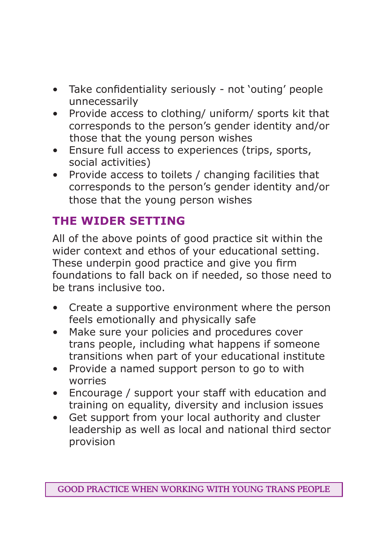- Take confidentiality seriously not 'outing' people unnecessarily
- Provide access to clothing/ uniform/ sports kit that corresponds to the person's gender identity and/or those that the young person wishes
- Ensure full access to experiences (trips, sports, social activities)
- Provide access to toilets / changing facilities that corresponds to the person's gender identity and/or those that the young person wishes

# **THE WIDER SETTING**

All of the above points of good practice sit within the wider context and ethos of your educational setting. These underpin good practice and give you firm foundations to fall back on if needed, so those need to be trans inclusive too.

- Create a supportive environment where the person feels emotionally and physically safe
- Make sure your policies and procedures cover trans people, including what happens if someone transitions when part of your educational institute
- Provide a named support person to go to with worries
- Encourage / support your staff with education and training on equality, diversity and inclusion issues
- Get support from your local authority and cluster leadership as well as local and national third sector provision